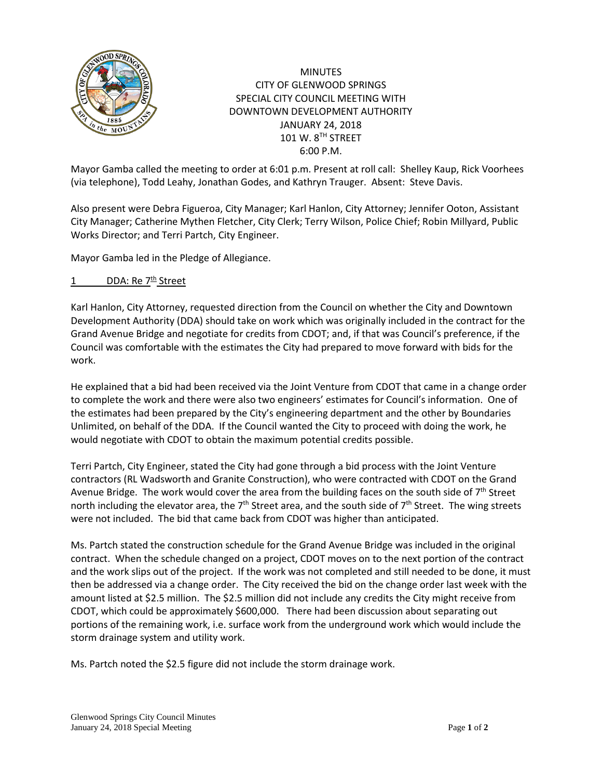

## **MINUTES** CITY OF GLENWOOD SPRINGS SPECIAL CITY COUNCIL MEETING WITH DOWNTOWN DEVELOPMENT AUTHORITY JANUARY 24, 2018 101 W. 8TH STREET 6:00 P.M.

Mayor Gamba called the meeting to order at 6:01 p.m. Present at roll call: Shelley Kaup, Rick Voorhees (via telephone), Todd Leahy, Jonathan Godes, and Kathryn Trauger. Absent: Steve Davis.

Also present were Debra Figueroa, City Manager; Karl Hanlon, City Attorney; Jennifer Ooton, Assistant City Manager; Catherine Mythen Fletcher, City Clerk; Terry Wilson, Police Chief; Robin Millyard, Public Works Director; and Terri Partch, City Engineer.

Mayor Gamba led in the Pledge of Allegiance.

## 1 DDA: Re  $7<sup>th</sup>$  Street

Karl Hanlon, City Attorney, requested direction from the Council on whether the City and Downtown Development Authority (DDA) should take on work which was originally included in the contract for the Grand Avenue Bridge and negotiate for credits from CDOT; and, if that was Council's preference, if the Council was comfortable with the estimates the City had prepared to move forward with bids for the work.

He explained that a bid had been received via the Joint Venture from CDOT that came in a change order to complete the work and there were also two engineers' estimates for Council's information. One of the estimates had been prepared by the City's engineering department and the other by Boundaries Unlimited, on behalf of the DDA. If the Council wanted the City to proceed with doing the work, he would negotiate with CDOT to obtain the maximum potential credits possible.

Terri Partch, City Engineer, stated the City had gone through a bid process with the Joint Venture contractors (RL Wadsworth and Granite Construction), who were contracted with CDOT on the Grand Avenue Bridge. The work would cover the area from the building faces on the south side of  $7<sup>th</sup>$  Street north including the elevator area, the  $7<sup>th</sup>$  Street area, and the south side of  $7<sup>th</sup>$  Street. The wing streets were not included. The bid that came back from CDOT was higher than anticipated.

Ms. Partch stated the construction schedule for the Grand Avenue Bridge was included in the original contract. When the schedule changed on a project, CDOT moves on to the next portion of the contract and the work slips out of the project. If the work was not completed and still needed to be done, it must then be addressed via a change order. The City received the bid on the change order last week with the amount listed at \$2.5 million. The \$2.5 million did not include any credits the City might receive from CDOT, which could be approximately \$600,000. There had been discussion about separating out portions of the remaining work, i.e. surface work from the underground work which would include the storm drainage system and utility work.

Ms. Partch noted the \$2.5 figure did not include the storm drainage work.